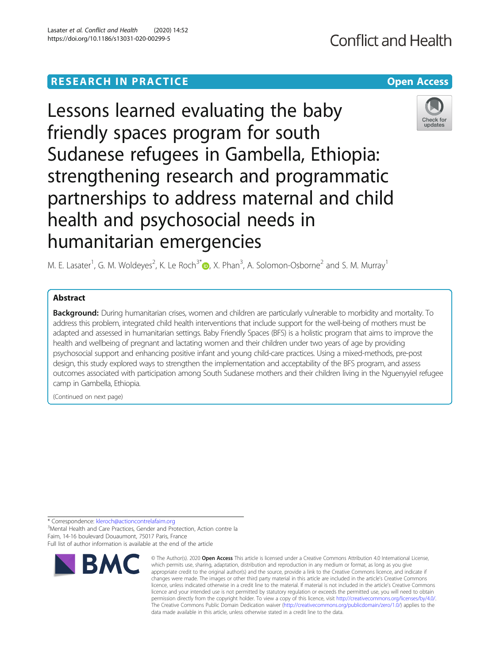# **RESEARCH IN PRACTICE CONSUMING THE OPEN ACCESS**



Lessons learned evaluating the baby friendly spaces program for south Sudanese refugees in Gambella, Ethiopia: strengthening research and programmatic partnerships to address maternal and child health and psychosocial needs in humanitarian emergencies

M. E. Lasater<sup>1</sup>, G. M. Woldeyes<sup>2</sup>, K. Le Roch<sup>3\*</sup>. X. Phan<sup>3</sup>, A. Solomon-Osborne<sup>2</sup> and S. M. Murray<sup>1</sup>

# Abstract

Background: During humanitarian crises, women and children are particularly vulnerable to morbidity and mortality. To address this problem, integrated child health interventions that include support for the well-being of mothers must be adapted and assessed in humanitarian settings. Baby Friendly Spaces (BFS) is a holistic program that aims to improve the health and wellbeing of pregnant and lactating women and their children under two years of age by providing psychosocial support and enhancing positive infant and young child-care practices. Using a mixed-methods, pre-post design, this study explored ways to strengthen the implementation and acceptability of the BFS program, and assess outcomes associated with participation among South Sudanese mothers and their children living in the Nguenyyiel refugee camp in Gambella, Ethiopia.

(Continued on next page)

\* Correspondence: [kleroch@actioncontrelafaim.org](mailto:kleroch@actioncontrelafaim.org) <sup>3</sup>

<sup>3</sup>Mental Health and Care Practices, Gender and Protection, Action contre la Faim, 14-16 boulevard Douaumont, 75017 Paris, France Full list of author information is available at the end of the article



<sup>©</sup> The Author(s), 2020 **Open Access** This article is licensed under a Creative Commons Attribution 4.0 International License, which permits use, sharing, adaptation, distribution and reproduction in any medium or format, as long as you give appropriate credit to the original author(s) and the source, provide a link to the Creative Commons licence, and indicate if changes were made. The images or other third party material in this article are included in the article's Creative Commons licence, unless indicated otherwise in a credit line to the material. If material is not included in the article's Creative Commons licence and your intended use is not permitted by statutory regulation or exceeds the permitted use, you will need to obtain permission directly from the copyright holder. To view a copy of this licence, visit [http://creativecommons.org/licenses/by/4.0/.](http://creativecommons.org/licenses/by/4.0/) The Creative Commons Public Domain Dedication waiver [\(http://creativecommons.org/publicdomain/zero/1.0/](http://creativecommons.org/publicdomain/zero/1.0/)) applies to the data made available in this article, unless otherwise stated in a credit line to the data.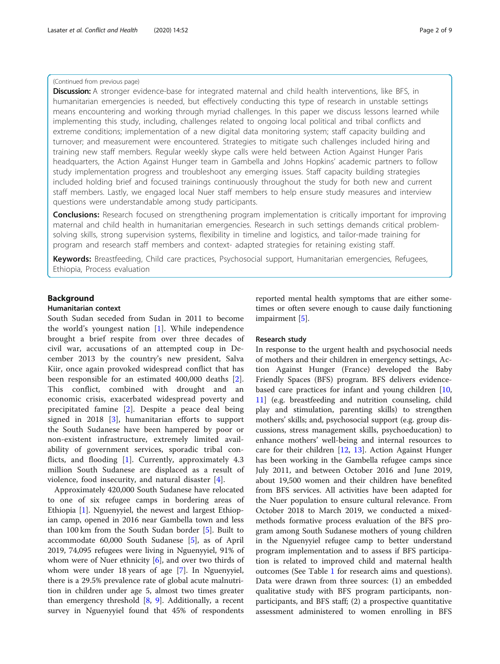# (Continued from previous page)

Discussion: A stronger evidence-base for integrated maternal and child health interventions, like BFS, in humanitarian emergencies is needed, but effectively conducting this type of research in unstable settings means encountering and working through myriad challenges. In this paper we discuss lessons learned while implementing this study, including, challenges related to ongoing local political and tribal conflicts and extreme conditions; implementation of a new digital data monitoring system; staff capacity building and turnover; and measurement were encountered. Strategies to mitigate such challenges included hiring and training new staff members. Regular weekly skype calls were held between Action Against Hunger Paris headquarters, the Action Against Hunger team in Gambella and Johns Hopkins' academic partners to follow study implementation progress and troubleshoot any emerging issues. Staff capacity building strategies included holding brief and focused trainings continuously throughout the study for both new and current staff members. Lastly, we engaged local Nuer staff members to help ensure study measures and interview questions were understandable among study participants.

**Conclusions:** Research focused on strengthening program implementation is critically important for improving maternal and child health in humanitarian emergencies. Research in such settings demands critical problemsolving skills, strong supervision systems, flexibility in timeline and logistics, and tailor-made training for program and research staff members and context- adapted strategies for retaining existing staff.

Keywords: Breastfeeding, Child care practices, Psychosocial support, Humanitarian emergencies, Refugees, Ethiopia, Process evaluation

# Background

# Humanitarian context

South Sudan seceded from Sudan in 2011 to become the world's youngest nation [\[1](#page-7-0)]. While independence brought a brief respite from over three decades of civil war, accusations of an attempted coup in December 2013 by the country's new president, Salva Kiir, once again provoked widespread conflict that has been responsible for an estimated 400,000 deaths [\[2](#page-7-0)]. This conflict, combined with drought and an economic crisis, exacerbated widespread poverty and precipitated famine [\[2](#page-7-0)]. Despite a peace deal being signed in 2018 [[3\]](#page-7-0), humanitarian efforts to support the South Sudanese have been hampered by poor or non-existent infrastructure, extremely limited availability of government services, sporadic tribal conflicts, and flooding [[1\]](#page-7-0). Currently, approximately 4.3 million South Sudanese are displaced as a result of violence, food insecurity, and natural disaster [[4\]](#page-7-0).

Approximately 420,000 South Sudanese have relocated to one of six refugee camps in bordering areas of Ethiopia [\[1](#page-7-0)]. Nguenyyiel, the newest and largest Ethiopian camp, opened in 2016 near Gambella town and less than 100 km from the South Sudan border [[5\]](#page-7-0). Built to accommodate 60,000 South Sudanese [[5\]](#page-7-0), as of April 2019, 74,095 refugees were living in Nguenyyiel, 91% of whom were of Nuer ethnicity  $[6]$  $[6]$ , and over two thirds of whom were under 18 years of age [[7](#page-7-0)]. In Nguenyyiel, there is a 29.5% prevalence rate of global acute malnutrition in children under age 5, almost two times greater than emergency threshold  $[8, 9]$  $[8, 9]$  $[8, 9]$  $[8, 9]$  $[8, 9]$ . Additionally, a recent survey in Nguenyyiel found that 45% of respondents

reported mental health symptoms that are either sometimes or often severe enough to cause daily functioning impairment [[5\]](#page-7-0).

# Research study

In response to the urgent health and psychosocial needs of mothers and their children in emergency settings, Action Against Hunger (France) developed the Baby Friendly Spaces (BFS) program. BFS delivers evidencebased care practices for infant and young children [[10](#page-7-0), [11\]](#page-7-0) (e.g. breastfeeding and nutrition counseling, child play and stimulation, parenting skills) to strengthen mothers' skills; and, psychosocial support (e.g. group discussions, stress management skills, psychoeducation) to enhance mothers' well-being and internal resources to care for their children [\[12](#page-7-0), [13](#page-7-0)]. Action Against Hunger has been working in the Gambella refugee camps since July 2011, and between October 2016 and June 2019, about 19,500 women and their children have benefited from BFS services. All activities have been adapted for the Nuer population to ensure cultural relevance. From October 2018 to March 2019, we conducted a mixedmethods formative process evaluation of the BFS program among South Sudanese mothers of young children in the Nguenyyiel refugee camp to better understand program implementation and to assess if BFS participation is related to improved child and maternal health outcomes (See Table [1](#page-2-0) for research aims and questions). Data were drawn from three sources: (1) an embedded qualitative study with BFS program participants, nonparticipants, and BFS staff; (2) a prospective quantitative assessment administered to women enrolling in BFS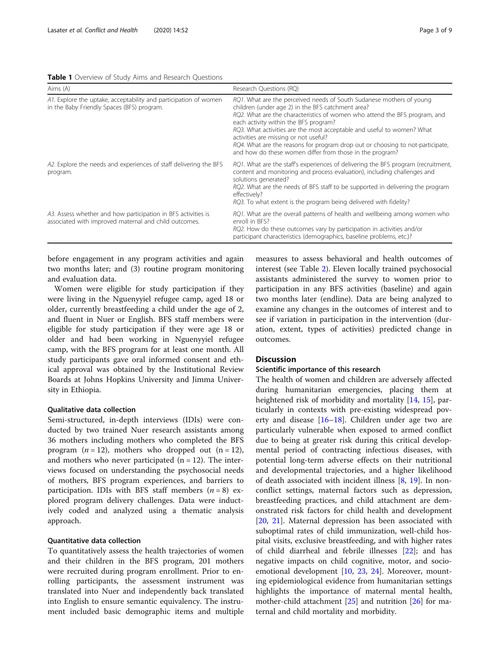<span id="page-2-0"></span>Table 1 Overview of Study Aims and Research Questions

| Aims (A)                                                                                                               | Research Questions (RQ)                                                                                                                                                                                                                                                                                                                                                                                                                                                                                           |
|------------------------------------------------------------------------------------------------------------------------|-------------------------------------------------------------------------------------------------------------------------------------------------------------------------------------------------------------------------------------------------------------------------------------------------------------------------------------------------------------------------------------------------------------------------------------------------------------------------------------------------------------------|
| A1. Explore the uptake, acceptability and participation of women<br>in the Baby Friendly Spaces (BFS) program.         | RQ1. What are the perceived needs of South Sudanese mothers of young<br>children (under age 2) in the BFS catchment area?<br>RQ2. What are the characteristics of women who attend the BFS program, and<br>each activity within the BFS program?<br>RQ3. What activities are the most acceptable and useful to women? What<br>activities are missing or not useful?<br>RQ4. What are the reasons for program drop out or choosing to not-participate,<br>and how do these women differ from those in the program? |
| A2. Explore the needs and experiences of staff delivering the BFS<br>program.                                          | RQ1. What are the staff's experiences of delivering the BFS program (recruitment,<br>content and monitoring and process evaluation), including challenges and<br>solutions generated?<br>RQ2. What are the needs of BFS staff to be supported in delivering the program<br>effectively?<br>RQ3. To what extent is the program being delivered with fidelity?                                                                                                                                                      |
| A3. Assess whether and how participation in BFS activities is<br>associated with improved maternal and child outcomes. | RQ1. What are the overall patterns of health and wellbeing among women who<br>enroll in BFS?<br>RQ2. How do these outcomes vary by participation in activities and/or<br>participant characteristics (demographics, baseline problems, etc.)?                                                                                                                                                                                                                                                                     |

before engagement in any program activities and again two months later; and (3) routine program monitoring and evaluation data.

Women were eligible for study participation if they were living in the Nguenyyiel refugee camp, aged 18 or older, currently breastfeeding a child under the age of 2, and fluent in Nuer or English. BFS staff members were eligible for study participation if they were age 18 or older and had been working in Nguenyyiel refugee camp, with the BFS program for at least one month. All study participants gave oral informed consent and ethical approval was obtained by the Institutional Review Boards at Johns Hopkins University and Jimma University in Ethiopia.

### Qualitative data collection

Semi-structured, in-depth interviews (IDIs) were conducted by two trained Nuer research assistants among 36 mothers including mothers who completed the BFS program  $(n = 12)$ , mothers who dropped out  $(n = 12)$ , and mothers who never participated  $(n = 12)$ . The interviews focused on understanding the psychosocial needs of mothers, BFS program experiences, and barriers to participation. IDIs with BFS staff members  $(n = 8)$  explored program delivery challenges. Data were inductively coded and analyzed using a thematic analysis approach.

# Quantitative data collection

To quantitatively assess the health trajectories of women and their children in the BFS program, 201 mothers were recruited during program enrollment. Prior to enrolling participants, the assessment instrument was translated into Nuer and independently back translated into English to ensure semantic equivalency. The instrument included basic demographic items and multiple measures to assess behavioral and health outcomes of interest (see Table [2](#page-3-0)). Eleven locally trained psychosocial assistants administered the survey to women prior to participation in any BFS activities (baseline) and again two months later (endline). Data are being analyzed to examine any changes in the outcomes of interest and to see if variation in participation in the intervention (duration, extent, types of activities) predicted change in outcomes.

# **Discussion**

## Scientific importance of this research

The health of women and children are adversely affected during humanitarian emergencies, placing them at heightened risk of morbidity and mortality [[14,](#page-7-0) [15](#page-7-0)], particularly in contexts with pre-existing widespread poverty and disease  $[16-18]$  $[16-18]$  $[16-18]$  $[16-18]$ . Children under age two are particularly vulnerable when exposed to armed conflict due to being at greater risk during this critical developmental period of contracting infectious diseases, with potential long-term adverse effects on their nutritional and developmental trajectories, and a higher likelihood of death associated with incident illness [\[8](#page-7-0), [19\]](#page-7-0). In nonconflict settings, maternal factors such as depression, breastfeeding practices, and child attachment are demonstrated risk factors for child health and development [[20,](#page-8-0) [21](#page-8-0)]. Maternal depression has been associated with suboptimal rates of child immunization, well-child hospital visits, exclusive breastfeeding, and with higher rates of child diarrheal and febrile illnesses [[22](#page-8-0)]; and has negative impacts on child cognitive, motor, and socioemotional development [[10,](#page-7-0) [23,](#page-8-0) [24\]](#page-8-0). Moreover, mounting epidemiological evidence from humanitarian settings highlights the importance of maternal mental health, mother-child attachment  $[25]$  $[25]$  and nutrition  $[26]$  $[26]$  for maternal and child mortality and morbidity.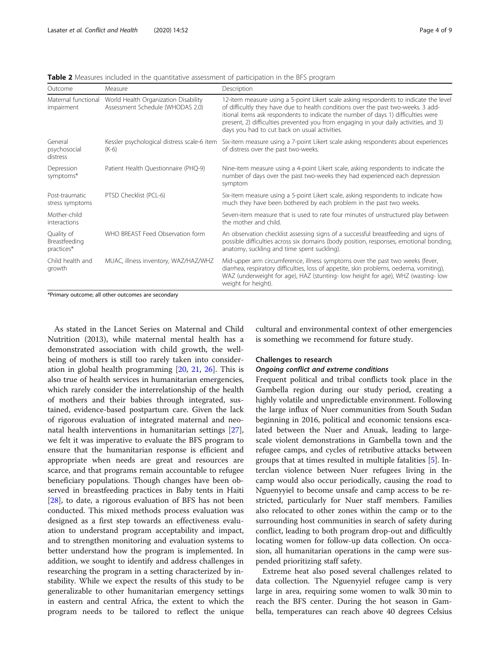| Outcome                                   | Measure                                                                  | Description                                                                                                                                                                                                                                                                                                                                                                                               |
|-------------------------------------------|--------------------------------------------------------------------------|-----------------------------------------------------------------------------------------------------------------------------------------------------------------------------------------------------------------------------------------------------------------------------------------------------------------------------------------------------------------------------------------------------------|
| Maternal functional<br>impairment         | World Health Organization Disability<br>Assessment Schedule (WHODAS 2.0) | 12-item measure using a 5-point Likert scale asking respondents to indicate the level<br>of difficultly they have due to health conditions over the past two-weeks. 3 add-<br>itional items ask respondents to indicate the number of days 1) difficulties were<br>present, 2) difficulties prevented you from engaging in your daily activities, and 3)<br>days you had to cut back on usual activities. |
| General<br>psychosocial<br>distress       | Kessler psychological distress scale-6 item<br>$(K-6)$                   | Six-item measure using a 7-point Likert scale asking respondents about experiences<br>of distress over the past two-weeks.                                                                                                                                                                                                                                                                                |
| Depression<br>symptoms*                   | Patient Health Questionnaire (PHQ-9)                                     | Nine-item measure using a 4-point Likert scale, asking respondents to indicate the<br>number of days over the past two-weeks they had experienced each depression<br>symptom                                                                                                                                                                                                                              |
| Post-traumatic<br>stress symptoms         | PTSD Checklist (PCL-6)                                                   | Six-item measure using a 5-point Likert scale, asking respondents to indicate how<br>much they have been bothered by each problem in the past two weeks.                                                                                                                                                                                                                                                  |
| Mother-child<br>interactions              |                                                                          | Seven-item measure that is used to rate four minutes of unstructured play between<br>the mother and child.                                                                                                                                                                                                                                                                                                |
| Quality of<br>Breastfeeding<br>practices* | WHO BREAST Feed Observation form                                         | An observation checklist assessing signs of a successful breastfeeding and signs of<br>possible difficulties across six domains (body position, responses, emotional bonding,<br>anatomy, suckling and time spent suckling).                                                                                                                                                                              |
| Child health and<br>growth                | MUAC, illness inventory, WAZ/HAZ/WHZ                                     | Mid-upper arm circumference, illness symptoms over the past two weeks (fever,<br>diarrhea, respiratory difficulties, loss of appetite, skin problems, oedema, vomiting),<br>WAZ (underweight for age), HAZ (stunting- low height for age), WHZ (wasting-low<br>weight for height).                                                                                                                        |

<span id="page-3-0"></span>Table 2 Measures included in the quantitative assessment of participation in the BFS program

\*Primary outcome; all other outcomes are secondary

As stated in the Lancet Series on Maternal and Child Nutrition (2013), while maternal mental health has a demonstrated association with child growth, the wellbeing of mothers is still too rarely taken into consideration in global health programming [\[20](#page-8-0), [21,](#page-8-0) [26](#page-8-0)]. This is also true of health services in humanitarian emergencies, which rarely consider the interrelationship of the health of mothers and their babies through integrated, sustained, evidence-based postpartum care. Given the lack of rigorous evaluation of integrated maternal and neonatal health interventions in humanitarian settings [\[27](#page-8-0)], we felt it was imperative to evaluate the BFS program to ensure that the humanitarian response is efficient and appropriate when needs are great and resources are scarce, and that programs remain accountable to refugee beneficiary populations. Though changes have been observed in breastfeeding practices in Baby tents in Haiti [[28\]](#page-8-0), to date, a rigorous evaluation of BFS has not been conducted. This mixed methods process evaluation was designed as a first step towards an effectiveness evaluation to understand program acceptability and impact, and to strengthen monitoring and evaluation systems to better understand how the program is implemented. In addition, we sought to identify and address challenges in researching the program in a setting characterized by instability. While we expect the results of this study to be generalizable to other humanitarian emergency settings in eastern and central Africa, the extent to which the program needs to be tailored to reflect the unique

cultural and environmental context of other emergencies is something we recommend for future study.

## Challenges to research

#### Ongoing conflict and extreme conditions

Frequent political and tribal conflicts took place in the Gambella region during our study period, creating a highly volatile and unpredictable environment. Following the large influx of Nuer communities from South Sudan beginning in 2016, political and economic tensions escalated between the Nuer and Anuak, leading to largescale violent demonstrations in Gambella town and the refugee camps, and cycles of retributive attacks between groups that at times resulted in multiple fatalities [\[5](#page-7-0)]. Interclan violence between Nuer refugees living in the camp would also occur periodically, causing the road to Nguenyyiel to become unsafe and camp access to be restricted, particularly for Nuer staff members. Families also relocated to other zones within the camp or to the surrounding host communities in search of safety during conflict, leading to both program drop-out and difficultly locating women for follow-up data collection. On occasion, all humanitarian operations in the camp were suspended prioritizing staff safety.

Extreme heat also posed several challenges related to data collection. The Nguenyyiel refugee camp is very large in area, requiring some women to walk 30 min to reach the BFS center. During the hot season in Gambella, temperatures can reach above 40 degrees Celsius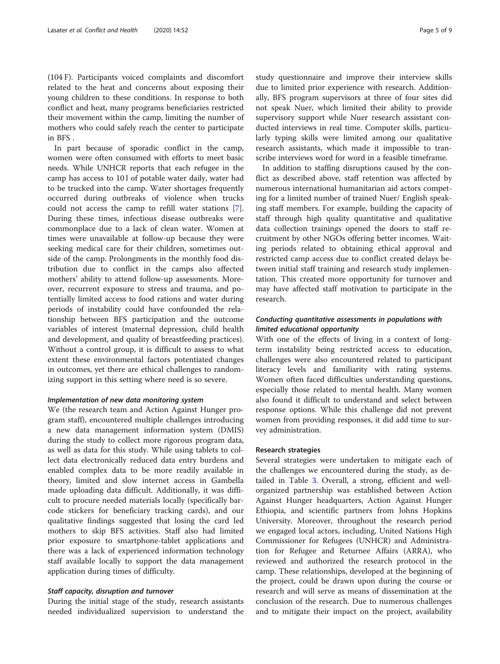(104 F). Participants voiced complaints and discomfort related to the heat and concerns about exposing their young children to these conditions. In response to both conflict and heat, many programs beneficiaries restricted their movement within the camp, limiting the number of mothers who could safely reach the center to participate in BFS .

In part because of sporadic conflict in the camp, women were often consumed with efforts to meet basic needs. While UNHCR reports that each refugee in the camp has access to 101 of potable water daily, water had to be trucked into the camp. Water shortages frequently occurred during outbreaks of violence when trucks could not access the camp to refill water stations [\[7](#page-7-0)]. During these times, infectious disease outbreaks were commonplace due to a lack of clean water. Women at times were unavailable at follow-up because they were seeking medical care for their children, sometimes outside of the camp. Prolongments in the monthly food distribution due to conflict in the camps also affected mothers' ability to attend follow-up assessments. Moreover, recurrent exposure to stress and trauma, and potentially limited access to food rations and water during periods of instability could have confounded the relationship between BFS participation and the outcome variables of interest (maternal depression, child health and development, and quality of breastfeeding practices). Without a control group, it is difficult to assess to what extent these environmental factors potentiated changes in outcomes, yet there are ethical challenges to randomizing support in this setting where need is so severe.

#### Implementation of new data monitoring system

We (the research team and Action Against Hunger program staff), encountered multiple challenges introducing a new data management information system (DMIS) during the study to collect more rigorous program data, as well as data for this study. While using tablets to collect data electronically reduced data entry burdens and enabled complex data to be more readily available in theory, limited and slow internet access in Gambella made uploading data difficult. Additionally, it was difficult to procure needed materials locally (specifically barcode stickers for beneficiary tracking cards), and our qualitative findings suggested that losing the card led mothers to skip BFS activities. Staff also had limited prior exposure to smartphone-tablet applications and there was a lack of experienced information technology staff available locally to support the data management application during times of difficulty.

# Staff capacity, disruption and turnover

During the initial stage of the study, research assistants needed individualized supervision to understand the study questionnaire and improve their interview skills due to limited prior experience with research. Additionally, BFS program supervisors at three of four sites did not speak Nuer, which limited their ability to provide supervisory support while Nuer research assistant conducted interviews in real time. Computer skills, particularly typing skills were limited among our qualitative research assistants, which made it impossible to transcribe interviews word for word in a feasible timeframe.

In addition to staffing disruptions caused by the conflict as described above, staff retention was affected by numerous international humanitarian aid actors competing for a limited number of trained Nuer/ English speaking staff members. For example, building the capacity of staff through high quality quantitative and qualitative data collection trainings opened the doors to staff recruitment by other NGOs offering better incomes. Waiting periods related to obtaining ethical approval and restricted camp access due to conflict created delays between initial staff training and research study implementation. This created more opportunity for turnover and may have affected staff motivation to participate in the research.

# Conducting quantitative assessments in populations with limited educational opportunity

With one of the effects of living in a context of longterm instability being restricted access to education, challenges were also encountered related to participant literacy levels and familiarity with rating systems. Women often faced difficulties understanding questions, especially those related to mental health. Many women also found it difficult to understand and select between response options. While this challenge did not prevent women from providing responses, it did add time to survey administration.

#### Research strategies

Several strategies were undertaken to mitigate each of the challenges we encountered during the study, as detailed in Table [3.](#page-5-0) Overall, a strong, efficient and wellorganized partnership was established between Action Against Hunger headquarters, Action Against Hunger Ethiopia, and scientific partners from Johns Hopkins University. Moreover, throughout the research period we engaged local actors, including, United Nations High Commissioner for Refugees (UNHCR) and Administration for Refugee and Returnee Affairs (ARRA), who reviewed and authorized the research protocol in the camp. These relationships, developed at the beginning of the project, could be drawn upon during the course or research and will serve as means of dissemination at the conclusion of the research. Due to numerous challenges and to mitigate their impact on the project, availability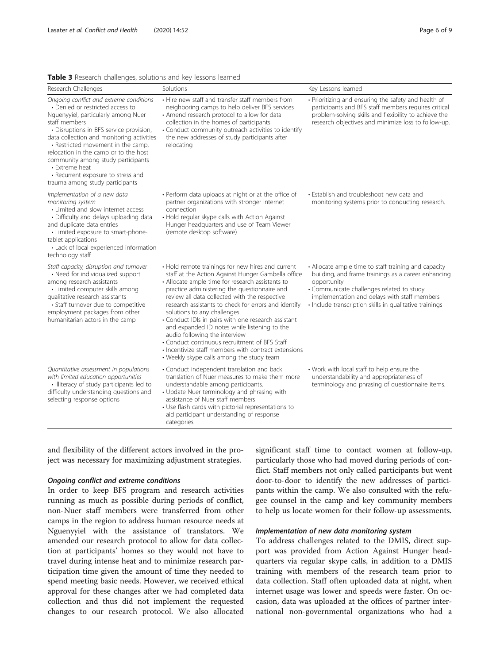#### <span id="page-5-0"></span>Table 3 Research challenges, solutions and key lessons learned

| Research Challenges                                                                                                                                                                                                                                                                                                                                                                                                                         | Solutions                                                                                                                                                                                                                                                                                                                                                                                                                                                                                                                                                                                                                                         | Key Lessons learned                                                                                                                                                                                                                                                                |
|---------------------------------------------------------------------------------------------------------------------------------------------------------------------------------------------------------------------------------------------------------------------------------------------------------------------------------------------------------------------------------------------------------------------------------------------|---------------------------------------------------------------------------------------------------------------------------------------------------------------------------------------------------------------------------------------------------------------------------------------------------------------------------------------------------------------------------------------------------------------------------------------------------------------------------------------------------------------------------------------------------------------------------------------------------------------------------------------------------|------------------------------------------------------------------------------------------------------------------------------------------------------------------------------------------------------------------------------------------------------------------------------------|
| Ongoing conflict and extreme conditions<br>• Denied or restricted access to<br>Nguenyyiel, particularly among Nuer<br>staff members<br>• Disruptions in BFS service provision,<br>data collection and monitoring activities<br>• Restricted movement in the camp,<br>relocation in the camp or to the host<br>community among study participants<br>• Extreme heat<br>• Recurrent exposure to stress and<br>trauma among study participants | • Hire new staff and transfer staff members from<br>neighboring camps to help deliver BFS services<br>• Amend research protocol to allow for data<br>collection in the homes of participants<br>• Conduct community outreach activities to identify<br>the new addresses of study participants after<br>relocating                                                                                                                                                                                                                                                                                                                                | • Prioritizing and ensuring the safety and health of<br>participants and BFS staff members requires critical<br>problem-solving skills and flexibility to achieve the<br>research objectives and minimize loss to follow-up.                                                       |
| Implementation of a new data<br>monitoring system<br>• Limited and slow internet access<br>• Difficulty and delays uploading data<br>and duplicate data entries<br>• Limited exposure to smart-phone-<br>tablet applications<br>• Lack of local experienced information<br>technology staff                                                                                                                                                 | • Perform data uploads at night or at the office of<br>partner organizations with stronger internet<br>connection<br>• Hold regular skype calls with Action Against<br>Hunger headquarters and use of Team Viewer<br>(remote desktop software)                                                                                                                                                                                                                                                                                                                                                                                                    | • Establish and troubleshoot new data and<br>monitoring systems prior to conducting research.                                                                                                                                                                                      |
| Staff capacity, disruption and turnover<br>• Need for individualized support<br>among research assistants<br>• Limited computer skills among<br>qualitative research assistants<br>• Staff turnover due to competitive<br>employment packages from other<br>humanitarian actors in the camp                                                                                                                                                 | • Hold remote trainings for new hires and current<br>staff at the Action Against Hunger Gambella office<br>• Allocate ample time for research assistants to<br>practice administering the questionnaire and<br>review all data collected with the respective<br>research assistants to check for errors and identify<br>solutions to any challenges<br>• Conduct IDIs in pairs with one research assistant<br>and expanded ID notes while listening to the<br>audio following the interview<br>• Conduct continuous recruitment of BFS Staff<br>· Incentivize staff members with contract extensions<br>• Weekly skype calls among the study team | • Allocate ample time to staff training and capacity<br>building, and frame trainings as a career enhancing<br>opportunity<br>· Communicate challenges related to study<br>implementation and delays with staff members<br>· Include transcription skills in qualitative trainings |
| Quantitative assessment in populations<br>with limited education opportunities<br>· Illiteracy of study participants led to<br>difficulty understanding questions and<br>selecting response options                                                                                                                                                                                                                                         | • Conduct independent translation and back<br>translation of Nuer measures to make them more<br>understandable among participants.<br>• Update Nuer terminology and phrasing with<br>assistance of Nuer staff members<br>• Use flash cards with pictorial representations to<br>aid participant understanding of response<br>categories                                                                                                                                                                                                                                                                                                           | • Work with local staff to help ensure the<br>understandability and appropriateness of<br>terminology and phrasing of questionnaire items.                                                                                                                                         |

and flexibility of the different actors involved in the project was necessary for maximizing adjustment strategies.

# Ongoing conflict and extreme conditions

In order to keep BFS program and research activities running as much as possible during periods of conflict, non-Nuer staff members were transferred from other camps in the region to address human resource needs at Nguenyyiel with the assistance of translators. We amended our research protocol to allow for data collection at participants' homes so they would not have to travel during intense heat and to minimize research participation time given the amount of time they needed to spend meeting basic needs. However, we received ethical approval for these changes after we had completed data collection and thus did not implement the requested changes to our research protocol. We also allocated significant staff time to contact women at follow-up, particularly those who had moved during periods of conflict. Staff members not only called participants but went door-to-door to identify the new addresses of participants within the camp. We also consulted with the refugee counsel in the camp and key community members to help us locate women for their follow-up assessments.

# Implementation of new data monitoring system

To address challenges related to the DMIS, direct support was provided from Action Against Hunger headquarters via regular skype calls, in addition to a DMIS training with members of the research team prior to data collection. Staff often uploaded data at night, when internet usage was lower and speeds were faster. On occasion, data was uploaded at the offices of partner international non-governmental organizations who had a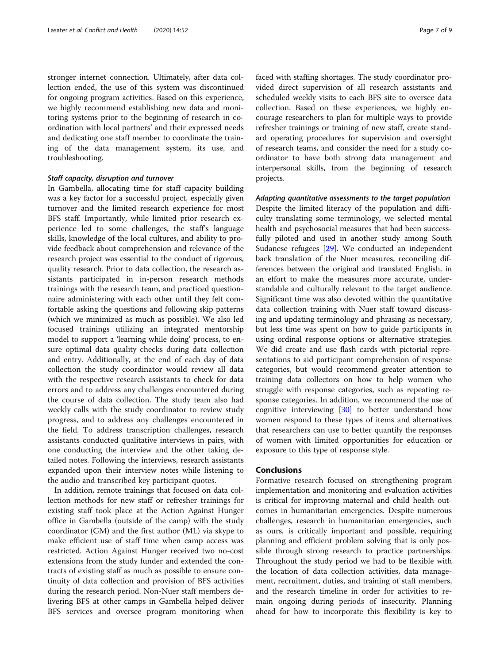stronger internet connection. Ultimately, after data collection ended, the use of this system was discontinued for ongoing program activities. Based on this experience, we highly recommend establishing new data and monitoring systems prior to the beginning of research in coordination with local partners' and their expressed needs and dedicating one staff member to coordinate the training of the data management system, its use, and troubleshooting.

# Staff capacity, disruption and turnover

In Gambella, allocating time for staff capacity building was a key factor for a successful project, especially given turnover and the limited research experience for most BFS staff. Importantly, while limited prior research experience led to some challenges, the staff's language skills, knowledge of the local cultures, and ability to provide feedback about comprehension and relevance of the research project was essential to the conduct of rigorous, quality research. Prior to data collection, the research assistants participated in in-person research methods trainings with the research team, and practiced questionnaire administering with each other until they felt comfortable asking the questions and following skip patterns (which we minimized as much as possible). We also led focused trainings utilizing an integrated mentorship model to support a 'learning while doing' process, to ensure optimal data quality checks during data collection and entry. Additionally, at the end of each day of data collection the study coordinator would review all data with the respective research assistants to check for data errors and to address any challenges encountered during the course of data collection. The study team also had weekly calls with the study coordinator to review study progress, and to address any challenges encountered in the field. To address transcription challenges, research assistants conducted qualitative interviews in pairs, with one conducting the interview and the other taking detailed notes. Following the interviews, research assistants expanded upon their interview notes while listening to the audio and transcribed key participant quotes.

In addition, remote trainings that focused on data collection methods for new staff or refresher trainings for existing staff took place at the Action Against Hunger office in Gambella (outside of the camp) with the study coordinator (GM) and the first author (ML) via skype to make efficient use of staff time when camp access was restricted. Action Against Hunger received two no-cost extensions from the study funder and extended the contracts of existing staff as much as possible to ensure continuity of data collection and provision of BFS activities during the research period. Non-Nuer staff members delivering BFS at other camps in Gambella helped deliver BFS services and oversee program monitoring when faced with staffing shortages. The study coordinator provided direct supervision of all research assistants and scheduled weekly visits to each BFS site to oversee data collection. Based on these experiences, we highly encourage researchers to plan for multiple ways to provide refresher trainings or training of new staff, create standard operating procedures for supervision and oversight of research teams, and consider the need for a study coordinator to have both strong data management and interpersonal skills, from the beginning of research projects.

Adapting quantitative assessments to the target population Despite the limited literacy of the population and difficulty translating some terminology, we selected mental health and psychosocial measures that had been successfully piloted and used in another study among South Sudanese refugees [\[29](#page-8-0)]. We conducted an independent back translation of the Nuer measures, reconciling differences between the original and translated English, in an effort to make the measures more accurate, understandable and culturally relevant to the target audience. Significant time was also devoted within the quantitative data collection training with Nuer staff toward discussing and updating terminology and phrasing as necessary, but less time was spent on how to guide participants in using ordinal response options or alternative strategies. We did create and use flash cards with pictorial representations to aid participant comprehension of response categories, but would recommend greater attention to training data collectors on how to help women who struggle with response categories, such as repeating response categories. In addition, we recommend the use of cognitive interviewing [[30](#page-8-0)] to better understand how women respond to these types of items and alternatives that researchers can use to better quantify the responses of women with limited opportunities for education or exposure to this type of response style.

# Conclusions

Formative research focused on strengthening program implementation and monitoring and evaluation activities is critical for improving maternal and child health outcomes in humanitarian emergencies. Despite numerous challenges, research in humanitarian emergencies, such as ours, is critically important and possible, requiring planning and efficient problem solving that is only possible through strong research to practice partnerships. Throughout the study period we had to be flexible with the location of data collection activities, data management, recruitment, duties, and training of staff members, and the research timeline in order for activities to remain ongoing during periods of insecurity. Planning ahead for how to incorporate this flexibility is key to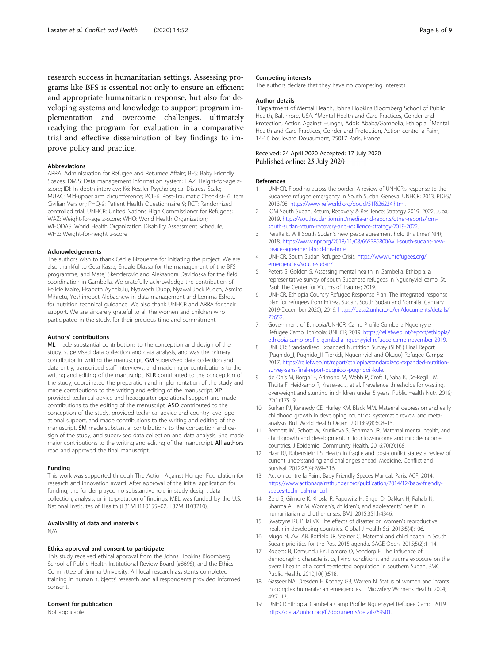<span id="page-7-0"></span>research success in humanitarian settings. Assessing programs like BFS is essential not only to ensure an efficient and appropriate humanitarian response, but also for developing systems and knowledge to support program implementation and overcome challenges, ultimately readying the program for evaluation in a comparative trial and effective dissemination of key findings to improve policy and practice.

#### Abbreviations

ARRA: Administration for Refugee and Returnee Affairs; BFS: Baby Friendly Spaces; DMIS: Data management information system; HAZ: Height-for-age zscore; IDI: In-depth interview; K6: Kessler Psychological Distress Scale; MUAC: Mid-upper arm circumference; PCL-6: Post-Traumatic Checklist- 6 Item Civilian Version; PHQ-9: Patient Health Questionnaire 9; RCT: Randomized controlled trial; UNHCR: United Nations High Commissioner for Refugees; WAZ: Weight-for-age z-score; WHO: World Health Organization; WHODAS: World Health Organization Disability Assessment Schedule; WHZ: Weight-for-height z-score

#### Acknowledgements

The authors wish to thank Cécile Bizouerne for initiating the project. We are also thankful to Geta Kassa, Endale Dlasso for the management of the BFS programme, and Matej Skenderovic and Aleksandra Davidoska for the field coordination in Gambella. We gratefully acknowledge the contribution of Felicie Maire, Elsabeth Aynekulu, Nyawech Duop, Nyawal Jock Puoch, Asmiro Mihretu, Yeshimebet Alebachew in data management and Lemma Eshetu for nutrition technical guidance. We also thank UNHCR and ARRA for their support. We are sincerely grateful to all the women and children who participated in the study, for their precious time and commitment.

#### Authors' contributions

ML made substantial contributions to the conception and design of the study, supervised data collection and data analysis, and was the primary contributor in writing the manuscript. GM supervised data collection and data entry, transcribed staff interviews, and made major contributions to the writing and editing of the manuscript. KLR contributed to the conception of the study, coordinated the preparation and implementation of the study and made contributions to the writing and editing of the manuscript. XP provided technical advice and headquarter operational support and made contributions to the editing of the manuscript. ASO contributed to the conception of the study, provided technical advice and country-level operational support, and made contributions to the writing and editing of the manuscript. SM made substantial contributions to the conception and design of the study, and supervised data collection and data analysis. She made major contributions to the writing and editing of the manuscript. All authors read and approved the final manuscript.

#### Funding

This work was supported through The Action Against Hunger Foundation for research and innovation award. After approval of the initial application for funding, the funder played no substantive role in study design, data collection, analysis, or interpretation of findings. MEL was funded by the U.S. National Institutes of Health (F31MH110155–02, T32MH103210).

#### Availability of data and materials

N/A

#### Ethics approval and consent to participate

This study received ethical approval from the Johns Hopkins Bloomberg School of Public Health Institutional Review Board (#8698), and the Ethics Committee of Jimma University. All local research assistants completed training in human subjects' research and all respondents provided informed consent.

## Consent for publication

Not applicable.

#### Competing interests

The authors declare that they have no competing interests.

#### Author details

<sup>1</sup>Department of Mental Health, Johns Hopkins Bloomberg School of Public Health, Baltimore, USA. <sup>2</sup>Mental Health and Care Practices, Gender and Protection, Action Against Hunger, Addis Ababa/Gambella, Ethiopia. <sup>3</sup>Mental Health and Care Practices, Gender and Protection, Action contre la Faim, 14-16 boulevard Douaumont, 75017 Paris, France.

# Received: 24 April 2020 Accepted: 17 July 2020 Published online: 25 July 2020

#### References

- 1. UNHCR. Flooding across the border: A review of UNHCR's response to the Sudanese refugee emergency in South Sudan. Geneva: UNHCR; 2013. PDES/ 2013/08. <https://www.refworld.org/docid/51f626234.html>.
- 2. IOM South Sudan. Return, Recovery & Resilience: Strategy 2019–2022. Juba; 2019. [https://southsudan.iom.int/media-and-reports/other-reports/iom](https://southsudan.iom.int/media-and-reports/other-reports/iom-south-sudan-return-recovery-and-resilience-strategy-2019-2022)[south-sudan-return-recovery-and-resilience-strategy-2019-2022.](https://southsudan.iom.int/media-and-reports/other-reports/iom-south-sudan-return-recovery-and-resilience-strategy-2019-2022)
- 3. Peralta E. Will South Sudan's new peace agreement hold this time? NPR; 2018. [https://www.npr.org/2018/11/08/665386800/will-south-sudans-new](https://www.npr.org/2018/11/08/665386800/will-south-sudans-new-peace-agreement-hold-this-time)[peace-agreement-hold-this-time.](https://www.npr.org/2018/11/08/665386800/will-south-sudans-new-peace-agreement-hold-this-time)
- 4. UNHCR. South Sudan Refugee Crisis. [https://www.unrefugees.org/](https://www.unrefugees.org/emergencies/south-sudan/) [emergencies/south-sudan/](https://www.unrefugees.org/emergencies/south-sudan/)
- 5. Peters S, Golden S. Assessing mental health in Gambella, Ethiopia: a representative survey of south Sudanese refugees in Nguenyyiel camp. St. Paul: The Center for Victims of Trauma; 2019.
- 6. UNHCR. Ethiopia Country Refugee Response Plan: The integrated response plan for refugees from Eritrea, Sudan, South Sudan and Somalia. (January 2019-December 2020); 2019. [https://data2.unhcr.org/en/documents/details/](https://data2.unhcr.org/en/documents/details/72652) [72652.](https://data2.unhcr.org/en/documents/details/72652)
- 7. Government of Ethiopia/UNHCR. Camp Profile Gambella Nguenyyiel Refugee Camp. Ethiopia: UNHCR; 2019. [https://reliefweb.int/report/ethiopia/](https://reliefweb.int/report/ethiopia/ethiopia-camp-profile-gambella-nguenyyiel-refugee-camp-november-2019) [ethiopia-camp-profile-gambella-nguenyyiel-refugee-camp-november-2019](https://reliefweb.int/report/ethiopia/ethiopia-camp-profile-gambella-nguenyyiel-refugee-camp-november-2019).
- 8. UNHCR: Standardised Expanded Nurtrition Survey (SENS) Final Report (Pugnido\_I, Pugnido\_II, Tierkidi, Nguennyiel and Okugo) Refugee Camps; 2017. [https://reliefweb.int/report/ethiopia/standardized-expanded-nutrition](https://reliefweb.int/report/ethiopia/standardized-expanded-nutrition-survey-sens-final-report-pugnidoi-pugnidoii-kule)[survey-sens-final-report-pugnidoi-pugnidoii-kule.](https://reliefweb.int/report/ethiopia/standardized-expanded-nutrition-survey-sens-final-report-pugnidoi-pugnidoii-kule)
- 9. de Onis M, Borghi E, Arimond M, Webb P, Croft T, Saha K, De-Regil LM, Thuita F, Heidkamp R, Krasevec J, et al. Prevalence thresholds for wasting, overweight and stunting in children under 5 years. Public Health Nutr. 2019; 22(1):175–9.
- 10. Surkan PJ, Kennedy CE, Hurley KM, Black MM. Maternal depression and early childhood growth in developing countries: systematic review and metaanalysis. Bull World Health Organ. 2011;89(8):608–15.
- 11. Bennett IM, Schott W, Krutikova S, Behrman JR. Maternal mental health, and child growth and development, in four low-income and middle-income countries. J Epidemiol Community Health. 2016;70(2):168.
- 12. Haar RJ, Rubenstein LS. Health in fragile and post-conflict states: a review of current understanding and challenges ahead. Medicine, Conflict and Survival. 2012;28(4):289–316.
- 13. Action contre la Faim. Baby Friendly Spaces Manual. Paris: ACF; 2014. [https://www.actionagainsthunger.org/publication/2014/12/baby-friendly](https://www.actionagainsthunger.org/publication/2014/12/baby-friendly-spaces-technical-manual)[spaces-technical-manual](https://www.actionagainsthunger.org/publication/2014/12/baby-friendly-spaces-technical-manual).
- 14. Zeid S, Gilmore K, Khosla R, Papowitz H, Engel D, Dakkak H, Rahab N, Sharma A, Fair M. Women's, children's, and adolescents' health in humanitarian and other crises. BMJ. 2015;351:h4346.
- 15. Swatzyna RJ, Pillai VK. The effects of disaster on women's reproductive health in developing countries. Global J Health Sci. 2013;5(4):106.
- 16. Mugo N, Zwi AB, Botfield JR, Steiner C. Maternal and child health in South Sudan: priorities for the Post-2015 agenda. SAGE Open. 2015;5(2):1–14.
- 17. Roberts B, Damundu EY, Lomoro O, Sondorp E. The influence of demographic characteristics, living conditions, and trauma exposure on the overall health of a conflict-affected population in southern Sudan. BMC Public Health. 2010;10(1):518.
- 18. Gasseer NA, Dresden E, Keeney GB, Warren N. Status of women and infants in complex humanitarian emergencies. J Midwifery Womens Health. 2004; 49:7–13.
- 19. UNHCR Ethiopia. Gambella Camp Profile: Nguenyyiel Refugee Camp. 2019. [https://data2.unhcr.org/fr/documents/details/69901.](https://data2.unhcr.org/fr/documents/details/69901)